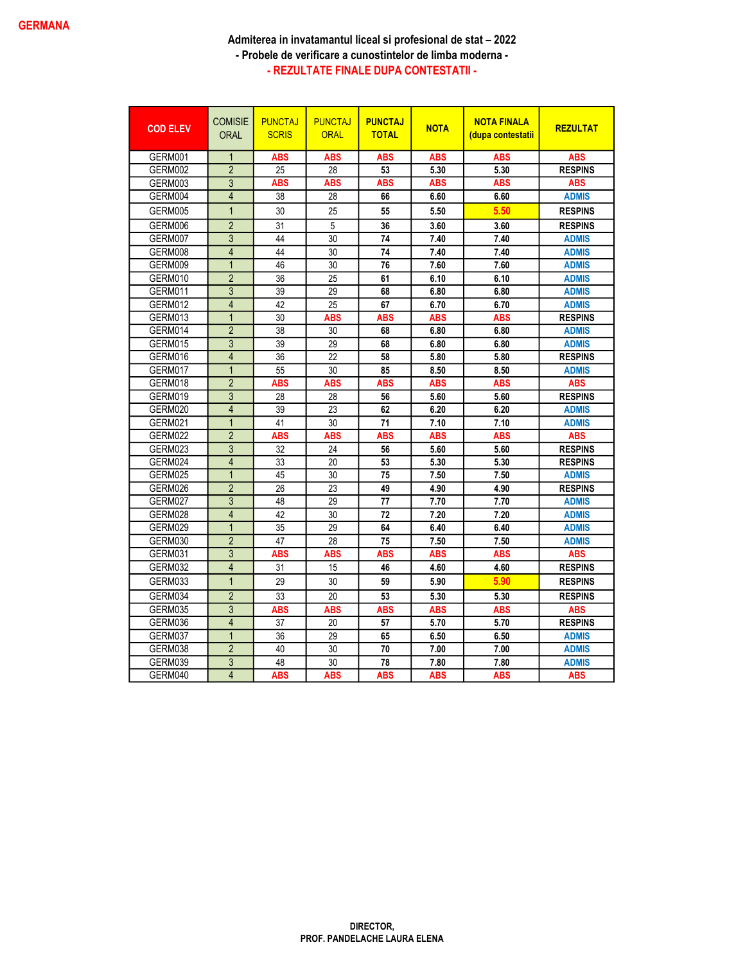| <b>COD ELEV</b> | <b>COMISIE</b><br><b>ORAL</b> | <b>PUNCTAJ</b><br><b>SCRIS</b> | <b>PUNCTAJ</b><br><b>ORAL</b> | <b>PUNCTAJ</b><br><b>TOTAL</b> | <b>NOTA</b> | <b>NOTA FINALA</b><br><u>(dupa contestatii</u> | <b>REZULTAT</b> |
|-----------------|-------------------------------|--------------------------------|-------------------------------|--------------------------------|-------------|------------------------------------------------|-----------------|
| GERM001         | $\mathbf{1}$                  | <b>ABS</b>                     | <b>ABS</b>                    | <b>ABS</b>                     | <b>ABS</b>  | <b>ABS</b>                                     | <b>ABS</b>      |
| GERM002         | $\overline{2}$                | 25                             | 28                            | 53                             | 5.30        | 5.30                                           | <b>RESPINS</b>  |
| GERM003         | 3                             | ABS                            | ABS                           | <b>ABS</b>                     | <b>ABS</b>  | ABS                                            | <b>ABS</b>      |
| GERM004         | $\overline{4}$                | 38                             | 28                            | 66                             | 6.60        | 6.60                                           | <b>ADMIS</b>    |
| GERM005         | $\overline{1}$                | 30                             | 25                            | 55                             | 5.50        | 5.50                                           | <b>RESPINS</b>  |
| GERM006         | $\overline{2}$                | 31                             | 5                             | 36                             | 3.60        | 3.60                                           | <b>RESPINS</b>  |
| GERM007         | 3                             | 44                             | 30                            | 74                             | 7.40        | 7.40                                           | <b>ADMIS</b>    |
| GERM008         | $\overline{4}$                | 44                             | 30                            | 74                             | 7.40        | 7.40                                           | <b>ADMIS</b>    |
| GERM009         | $\overline{1}$                | 46                             | 30                            | 76                             | 7.60        | 7.60                                           | <b>ADMIS</b>    |
| GERM010         | $\overline{2}$                | 36                             | 25                            | 61                             | 6.10        | 6.10                                           | <b>ADMIS</b>    |
| GERM011         | 3                             | 39                             | 29                            | 68                             | 6.80        | 6.80                                           | <b>ADMIS</b>    |
| GERM012         | $\overline{4}$                | 42                             | 25                            | 67                             | 6.70        | 6.70                                           | <b>ADMIS</b>    |
| GERM013         | $\mathbf{1}$                  | 30                             | <b>ABS</b>                    | <b>ABS</b>                     | <b>ABS</b>  | <b>ABS</b>                                     | <b>RESPINS</b>  |
| GERM014         | $\overline{2}$                | 38                             | 30                            | 68                             | 6.80        | 6.80                                           | <b>ADMIS</b>    |
| GERM015         | $\overline{3}$                | 39                             | 29                            | 68                             | 6.80        | 6.80                                           | <b>ADMIS</b>    |
| GERM016         | $\overline{4}$                | 36                             | 22                            | 58                             | 5.80        | 5.80                                           | <b>RESPINS</b>  |
| GERM017         | $\overline{1}$                | 55                             | 30                            | 85                             | 8.50        | 8.50                                           | <b>ADMIS</b>    |
| GERM018         | $\overline{2}$                | <b>ABS</b>                     | <b>ABS</b>                    | <b>ABS</b>                     | <b>ABS</b>  | <b>ABS</b>                                     | <b>ABS</b>      |
| GERM019         | $\overline{3}$                | 28                             | 28                            | 56                             | 5.60        | 5.60                                           | <b>RESPINS</b>  |
| GERM020         | $\overline{4}$                | 39                             | 23                            | 62                             | 6.20        | 6.20                                           | <b>ADMIS</b>    |
| GERM021         | $\overline{1}$                | 41                             | 30                            | 71                             | 7.10        | 7.10                                           | <b>ADMIS</b>    |
| GERM022         | $\overline{2}$                | <b>ABS</b>                     | <b>ABS</b>                    | <b>ABS</b>                     | <b>ABS</b>  | <b>ABS</b>                                     | <b>ABS</b>      |
| GERM023         | 3                             | 32                             | 24                            | 56                             | 5.60        | 5.60                                           | <b>RESPINS</b>  |
| GERM024         | $\overline{4}$                | 33                             | 20                            | 53                             | 5.30        | 5.30                                           | <b>RESPINS</b>  |
| GERM025         | $\overline{1}$                | 45                             | 30                            | 75                             | 7.50        | 7.50                                           | <b>ADMIS</b>    |
| GERM026         | $\overline{2}$                | 26                             | 23                            | 49                             | 4.90        | 4.90                                           | <b>RESPINS</b>  |
| GERM027         | 3                             | 48                             | 29                            | 77                             | 7.70        | 7.70                                           | <b>ADMIS</b>    |
| GERM028         | $\overline{4}$                | 42                             | 30                            | 72                             | 7.20        | 7.20                                           | <b>ADMIS</b>    |
| GERM029         | $\overline{1}$                | 35                             | 29                            | 64                             | 6.40        | 6.40                                           | <b>ADMIS</b>    |
| GERM030         | $\overline{2}$                | 47                             | 28                            | 75                             | 7.50        | 7.50                                           | <b>ADMIS</b>    |
| GERM031         | $\overline{3}$                | <b>ABS</b>                     | <b>ABS</b>                    | <b>ABS</b>                     | <b>ABS</b>  | <b>ABS</b>                                     | <b>ABS</b>      |
| GERM032         | $\overline{4}$                | 31                             | 15                            | 46                             | 4.60        | 4.60                                           | <b>RESPINS</b>  |
| GERM033         | $\overline{1}$                | 29                             | 30                            | 59                             | 5.90        | 5.90                                           | <b>RESPINS</b>  |
| GERM034         | $\overline{2}$                | 33                             | 20                            | 53                             | 5.30        | 5.30                                           | <b>RESPINS</b>  |
| GERM035         | 3                             | <b>ABS</b>                     | <b>ABS</b>                    | <b>ABS</b>                     | <b>ABS</b>  | <b>ABS</b>                                     | <b>ABS</b>      |
| GERM036         | $\overline{4}$                | 37                             | 20                            | 57                             | 5.70        | 5.70                                           | <b>RESPINS</b>  |
| GERM037         | $\overline{1}$                | 36                             | 29                            | 65                             | 6.50        | 6.50                                           | <b>ADMIS</b>    |
| GERM038         | $\overline{2}$                | 40                             | 30                            | 70                             | 7.00        | 7.00                                           | <b>ADMIS</b>    |
| GERM039         | 3                             | 48                             | 30                            | 78                             | 7.80        | 7.80                                           | <b>ADMIS</b>    |
| GERM040         | $\overline{4}$                | <b>ABS</b>                     | <b>ABS</b>                    | <b>ABS</b>                     | <b>ABS</b>  | <b>ABS</b>                                     | <b>ABS</b>      |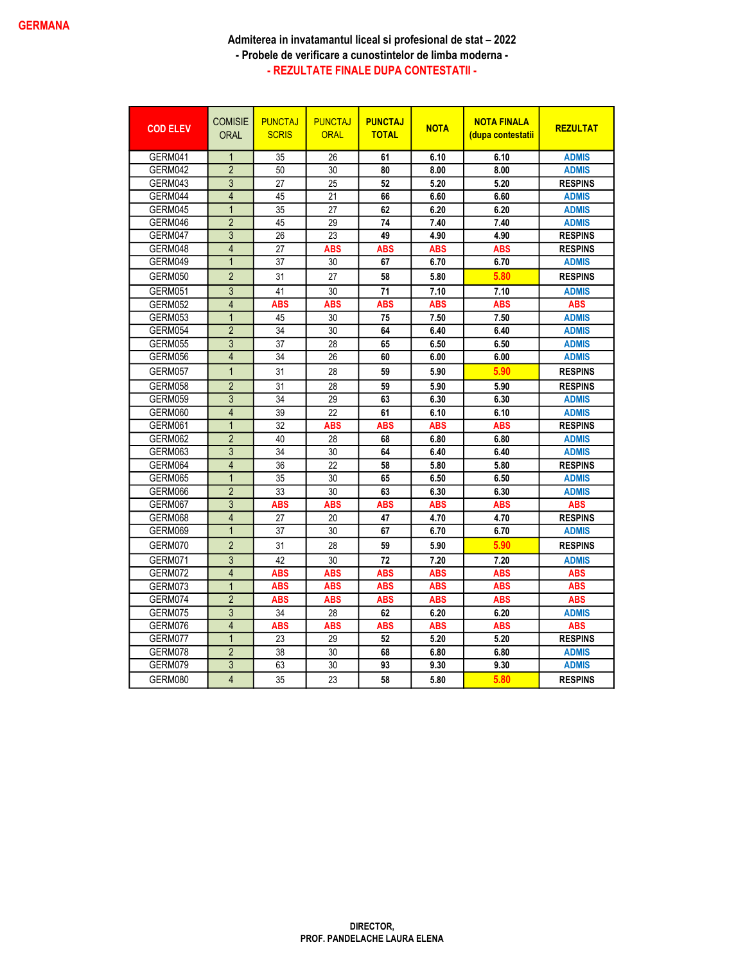| <b>COD ELEV</b> | <b>COMISIE</b><br><b>ORAL</b> | <b>PUNCTAJ</b><br><b>SCRIS</b> | <b>PUNCTAJ</b><br><b>ORAL</b> | <b>PUNCTAJ</b><br><b>TOTAL</b> | <b>NOTA</b> | <b>NOTA FINALA</b><br><u>(dupa contestatii</u> | <b>REZULTAT</b> |
|-----------------|-------------------------------|--------------------------------|-------------------------------|--------------------------------|-------------|------------------------------------------------|-----------------|
| GERM041         | $\overline{1}$                | 35                             | 26                            | 61                             | 6.10        | 6.10                                           | <b>ADMIS</b>    |
| GERM042         | $\overline{2}$                | 50                             | 30                            | 80                             | 8.00        | 8.00                                           | <b>ADMIS</b>    |
| GERM043         | 3                             | 27                             | 25                            | 52                             | 5.20        | 5.20                                           | <b>RESPINS</b>  |
| GERM044         | $\overline{4}$                | 45                             | 21                            | 66                             | 6.60        | 6.60                                           | <b>ADMIS</b>    |
| GERM045         | $\overline{1}$                | 35                             | 27                            | 62                             | 6.20        | 6.20                                           | <b>ADMIS</b>    |
| GERM046         | $\overline{2}$                | 45                             | 29                            | 74                             | 7.40        | 7.40                                           | <b>ADMIS</b>    |
| GERM047         | $\overline{3}$                | 26                             | 23                            | 49                             | 4.90        | 4.90                                           | <b>RESPINS</b>  |
| GERM048         | $\overline{4}$                | 27                             | <b>ABS</b>                    | <b>ABS</b>                     | <b>ABS</b>  | <b>ABS</b>                                     | <b>RESPINS</b>  |
| GERM049         | $\overline{1}$                | 37                             | 30                            | 67                             | 6.70        | 6.70                                           | <b>ADMIS</b>    |
| GERM050         | $\overline{2}$                | 31                             | 27                            | 58                             | 5.80        | 5.80                                           | <b>RESPINS</b>  |
| GERM051         | 3                             | 41                             | 30                            | 71                             | 7.10        | 7.10                                           | <b>ADMIS</b>    |
| GERM052         | $\overline{4}$                | <b>ABS</b>                     | <b>ABS</b>                    | <b>ABS</b>                     | <b>ABS</b>  | <b>ABS</b>                                     | <b>ABS</b>      |
| GERM053         | $\mathbf 1$                   | 45                             | 30                            | 75                             | 7.50        | 7.50                                           | <b>ADMIS</b>    |
| GERM054         | $\overline{2}$                | 34                             | $\overline{30}$               | 64                             | 6.40        | 6.40                                           | <b>ADMIS</b>    |
| GERM055         | 3                             | 37                             | 28                            | 65                             | 6.50        | 6.50                                           | <b>ADMIS</b>    |
| GERM056         | $\overline{4}$                | 34                             | 26                            | 60                             | 6.00        | 6.00                                           | <b>ADMIS</b>    |
| GERM057         | $\overline{1}$                | 31                             | 28                            | 59                             | 5.90        | 5.90                                           | <b>RESPINS</b>  |
| GERM058         | $\overline{2}$                | 31                             | 28                            | 59                             | 5.90        | 5.90                                           | <b>RESPINS</b>  |
| GERM059         | $\overline{3}$                | 34                             | 29                            | 63                             | 6.30        | 6.30                                           | <b>ADMIS</b>    |
| GERM060         | $\overline{4}$                | 39                             | 22                            | 61                             | 6.10        | 6.10                                           | <b>ADMIS</b>    |
| GERM061         | $\mathbf 1$                   | 32                             | ABS                           | ABS                            | ABS         | <b>ABS</b>                                     | <b>RESPINS</b>  |
| GERM062         | $\overline{2}$                | 40                             | 28                            | 68                             | 6.80        | 6.80                                           | <b>ADMIS</b>    |
| GERM063         | $\overline{3}$                | 34                             | 30                            | 64                             | 6.40        | 6.40                                           | <b>ADMIS</b>    |
| GERM064         | $\overline{4}$                | 36                             | 22                            | 58                             | 5.80        | 5.80                                           | <b>RESPINS</b>  |
| GERM065         | $\overline{1}$                | 35                             | 30                            | 65                             | 6.50        | 6.50                                           | <b>ADMIS</b>    |
| GERM066         | $\overline{2}$                | 33                             | 30                            | 63                             | 6.30        | 6.30                                           | <b>ADMIS</b>    |
| GERM067         | 3                             | <b>ABS</b>                     | <b>ABS</b>                    | <b>ABS</b>                     | ABS         | <b>ABS</b>                                     | <b>ABS</b>      |
| GERM068         | $\overline{4}$                | 27                             | 20                            | 47                             | 4.70        | 4.70                                           | <b>RESPINS</b>  |
| GERM069         | $\overline{1}$                | 37                             | 30                            | 67                             | 6.70        | 6.70                                           | <b>ADMIS</b>    |
| GERM070         | $\overline{2}$                | 31                             | 28                            | 59                             | 5.90        | 5.90                                           | <b>RESPINS</b>  |
| GERM071         | 3                             | 42                             | 30                            | 72                             | 7.20        | 7.20                                           | <b>ADMIS</b>    |
| GERM072         | $\overline{4}$                | <b>ABS</b>                     | <b>ABS</b>                    | <b>ABS</b>                     | <b>ABS</b>  | <b>ABS</b>                                     | <b>ABS</b>      |
| GERM073         | $\overline{1}$                | <b>ABS</b>                     | <b>ABS</b>                    | <b>ABS</b>                     | <b>ABS</b>  | <b>ABS</b>                                     | <b>ABS</b>      |
| GERM074         | $\overline{2}$                | <b>ABS</b>                     | <b>ABS</b>                    | <b>ABS</b>                     | <b>ABS</b>  | <b>ABS</b>                                     | <b>ABS</b>      |
| GERM075         | 3                             | 34                             | 28                            | 62                             | 6.20        | 6.20                                           | <b>ADMIS</b>    |
| GERM076         | $\overline{4}$                | <b>ABS</b>                     | <b>ABS</b>                    | <b>ABS</b>                     | <b>ABS</b>  | <b>ABS</b>                                     | <b>ABS</b>      |
| GERM077         | $\overline{1}$                | 23                             | 29                            | 52                             | 5.20        | 5.20                                           | <b>RESPINS</b>  |
| GERM078         | $\overline{2}$                | 38                             | 30                            | 68                             | 6.80        | 6.80                                           | <b>ADMIS</b>    |
| GERM079         | 3                             | 63                             | 30                            | 93                             | 9.30        | 9.30                                           | <b>ADMIS</b>    |
| GERM080         | $\overline{4}$                | 35                             | 23                            | 58                             | 5.80        | 5.80                                           | <b>RESPINS</b>  |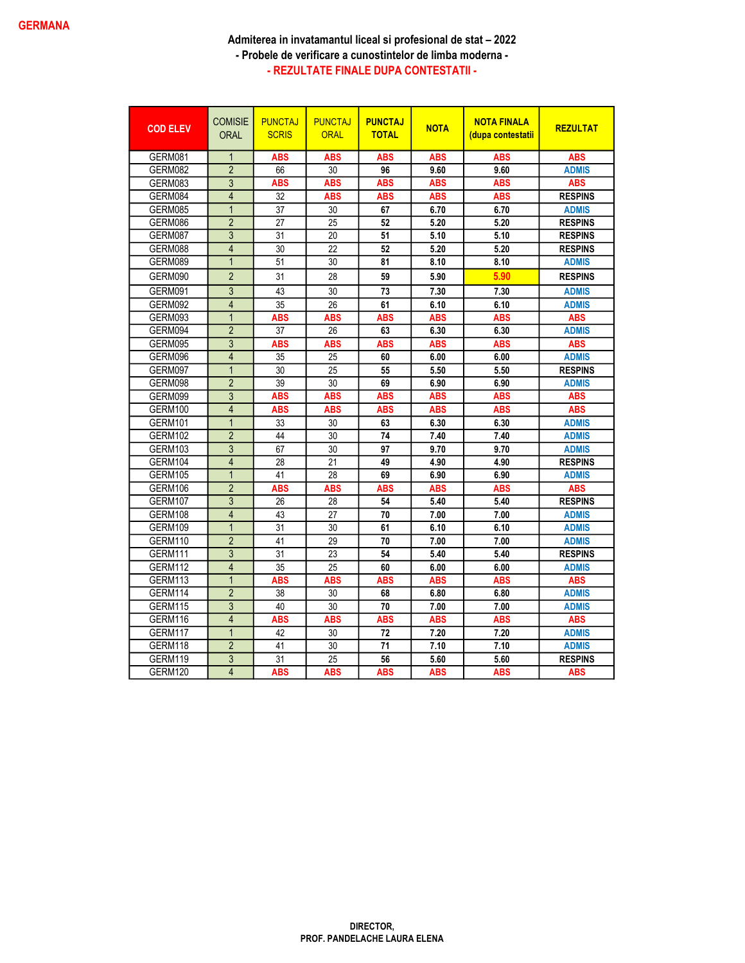| <b>COD ELEV</b> | <b>COMISIE</b><br><b>ORAL</b> | <b>PUNCTAJ</b><br><b>SCRIS</b> | <b>PUNCTAJ</b><br><b>ORAL</b> | <b>PUNCTAJ</b><br><b>TOTAL</b> | <b>NOTA</b> | <b>NOTA FINALA</b><br>(dupa contestatii | <b>REZULTAT</b> |
|-----------------|-------------------------------|--------------------------------|-------------------------------|--------------------------------|-------------|-----------------------------------------|-----------------|
| GERM081         | $\mathbf{1}$                  | <b>ABS</b>                     | <b>ABS</b>                    | <b>ABS</b>                     | <b>ABS</b>  | <b>ABS</b>                              | <b>ABS</b>      |
| GERM082         | $\overline{2}$                | 66                             | 30                            | 96                             | 9.60        | 9.60                                    | <b>ADMIS</b>    |
| GERM083         | 3                             | ABS                            | ABS                           | <b>ABS</b>                     | ABS         | ABS                                     | ABS             |
| GERM084         | $\overline{4}$                | 32                             | <b>ABS</b>                    | <b>ABS</b>                     | <b>ABS</b>  | <b>ABS</b>                              | <b>RESPINS</b>  |
| GERM085         | $\overline{1}$                | 37                             | 30                            | 67                             | 6.70        | 6.70                                    | <b>ADMIS</b>    |
| GERM086         | $\overline{2}$                | 27                             | 25                            | 52                             | 5.20        | 5.20                                    | <b>RESPINS</b>  |
| GERM087         | $\overline{3}$                | 31                             | 20                            | 51                             | 5.10        | 5.10                                    | <b>RESPINS</b>  |
| GERM088         | $\overline{4}$                | 30                             | 22                            | 52                             | 5.20        | 5.20                                    | <b>RESPINS</b>  |
| GERM089         | $\overline{1}$                | 51                             | 30                            | 81                             | 8.10        | 8.10                                    | <b>ADMIS</b>    |
| GERM090         | $\overline{2}$                | 31                             | 28                            | 59                             | 5.90        | 5.90                                    | <b>RESPINS</b>  |
| GERM091         | $\overline{3}$                | 43                             | 30                            | 73                             | 7.30        | 7.30                                    | <b>ADMIS</b>    |
| GERM092         | $\overline{4}$                | 35                             | 26                            | 61                             | 6.10        | 6.10                                    | <b>ADMIS</b>    |
| GERM093         | $\overline{1}$                | <b>ABS</b>                     | <b>ABS</b>                    | <b>ABS</b>                     | <b>ABS</b>  | <b>ABS</b>                              | <b>ABS</b>      |
| GERM094         | $\overline{2}$                | 37                             | 26                            | 63                             | 6.30        | 6.30                                    | <b>ADMIS</b>    |
| GERM095         | 3                             | <b>ABS</b>                     | <b>ABS</b>                    | <b>ABS</b>                     | <b>ABS</b>  | <b>ABS</b>                              | <b>ABS</b>      |
| GERM096         | $\overline{4}$                | 35                             | 25                            | 60                             | 6.00        | 6.00                                    | <b>ADMIS</b>    |
| GERM097         | $\overline{1}$                | 30                             | 25                            | 55                             | 5.50        | 5.50                                    | <b>RESPINS</b>  |
| GERM098         | $\overline{2}$                | 39                             | 30                            | 69                             | 6.90        | 6.90                                    | <b>ADMIS</b>    |
| GERM099         | $\overline{3}$                | <b>ABS</b>                     | <b>ABS</b>                    | <b>ABS</b>                     | <b>ABS</b>  | <b>ABS</b>                              | <b>ABS</b>      |
| GERM100         | $\overline{4}$                | <b>ABS</b>                     | <b>ABS</b>                    | <b>ABS</b>                     | <b>ABS</b>  | <b>ABS</b>                              | <b>ABS</b>      |
| GERM101         | $\overline{1}$                | 33                             | 30                            | 63                             | 6.30        | 6.30                                    | <b>ADMIS</b>    |
| GERM102         | $\overline{2}$                | 44                             | 30                            | 74                             | 7.40        | 7.40                                    | <b>ADMIS</b>    |
| GERM103         | 3                             | 67                             | 30                            | 97                             | 9.70        | 9.70                                    | <b>ADMIS</b>    |
| GERM104         | $\overline{4}$                | 28                             | 21                            | 49                             | 4.90        | 4.90                                    | <b>RESPINS</b>  |
| GERM105         | $\overline{1}$                | 41                             | 28                            | 69                             | 6.90        | 6.90                                    | <b>ADMIS</b>    |
| GERM106         | $\overline{2}$                | <b>ABS</b>                     | <b>ABS</b>                    | ABS                            | <b>ABS</b>  | <b>ABS</b>                              | <b>ABS</b>      |
| GERM107         | $\overline{3}$                | 26                             | 28                            | 54                             | 5.40        | 5.40                                    | <b>RESPINS</b>  |
| GERM108         | $\overline{4}$                | 43                             | 27                            | 70                             | 7.00        | 7.00                                    | <b>ADMIS</b>    |
| GERM109         | $\mathbf 1$                   | 31                             | 30                            | 61                             | 6.10        | 6.10                                    | <b>ADMIS</b>    |
| <b>GERM110</b>  | $\overline{2}$                | 41                             | $\overline{29}$               | 70                             | 7.00        | 7.00                                    | <b>ADMIS</b>    |
| GERM111         | $\overline{3}$                | 31                             | 23                            | 54                             | 5.40        | 5.40                                    | <b>RESPINS</b>  |
| GERM112         | $\overline{4}$                | 35                             | 25                            | 60                             | 6.00        | 6.00                                    | <b>ADMIS</b>    |
| GERM113         | $\overline{1}$                | <b>ABS</b>                     | <b>ABS</b>                    | <b>ABS</b>                     | <b>ABS</b>  | <b>ABS</b>                              | <b>ABS</b>      |
| GERM114         | $\overline{2}$                | 38                             | 30                            | 68                             | 6.80        | 6.80                                    | <b>ADMIS</b>    |
| GERM115         | $\overline{3}$                | 40                             | 30                            | 70                             | 7.00        | 7.00                                    | <b>ADMIS</b>    |
| GERM116         | $\overline{4}$                | <b>ABS</b>                     | <b>ABS</b>                    | <b>ABS</b>                     | <b>ABS</b>  | <b>ABS</b>                              | <b>ABS</b>      |
| GERM117         | $\overline{1}$                | 42                             | 30                            | 72                             | 7.20        | 7.20                                    | <b>ADMIS</b>    |
| GERM118         | $\overline{2}$                | 41                             | 30                            | 71                             | 7.10        | 7.10                                    | <b>ADMIS</b>    |
| GERM119         | 3                             | 31                             | 25                            | 56                             | 5.60        | 5.60                                    | <b>RESPINS</b>  |
| <b>GERM120</b>  | $\overline{4}$                | <b>ABS</b>                     | <b>ABS</b>                    | <b>ABS</b>                     | <b>ABS</b>  | <b>ABS</b>                              | <b>ABS</b>      |